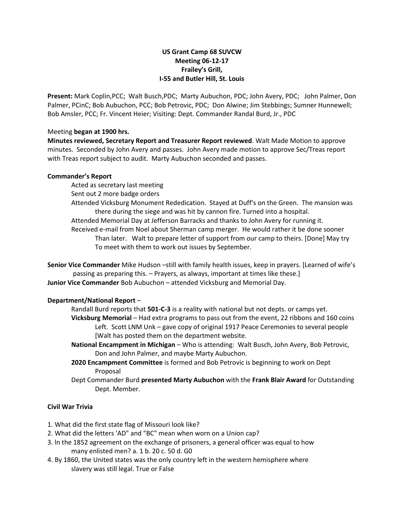## **US Grant Camp 68 SUVCW Meeting 06-12-17 Frailey's Grill, I-55 and Butler Hill, St. Louis**

**Present:** Mark Coplin,PCC; Walt Busch,PDC; Marty Aubuchon, PDC; John Avery, PDC; John Palmer, Don Palmer, PCinC; Bob Aubuchon, PCC; Bob Petrovic, PDC; Don Alwine; Jim Stebbings; Sumner Hunnewell; Bob Amsler, PCC; Fr. Vincent Heier; Visiting: Dept. Commander Randal Burd, Jr., PDC

#### Meeting **began at 1900 hrs.**

**Minutes reviewed, Secretary Report and Treasurer Report reviewed**. Walt Made Motion to approve minutes. Seconded by John Avery and passes. John Avery made motion to approve Sec/Treas report with Treas report subject to audit. Marty Aubuchon seconded and passes.

#### **Commander's Report**

Acted as secretary last meeting

- Sent out 2 more badge orders
- Attended Vicksburg Monument Rededication. Stayed at Duff's on the Green. The mansion was there during the siege and was hit by cannon fire. Turned into a hospital.
- Attended Memorial Day at Jefferson Barracks and thanks to John Avery for running it.

Received e-mail from Noel about Sherman camp merger. He would rather it be done sooner Than later. Walt to prepare letter of support from our camp to theirs. [Done] May try To meet with them to work out issues by September.

**Senior Vice Commander** Mike Hudson –still with family health issues, keep in prayers. [Learned of wife's passing as preparing this. – Prayers, as always, important at times like these.] **Junior Vice Commander** Bob Aubuchon – attended Vicksburg and Memorial Day.

# **Department/National Report** –

- Randall Burd reports that **501-C-3** is a reality with national but not depts. or camps yet.
- **Vicksburg Memorial** Had extra programs to pass out from the event, 22 ribbons and 160 coins Left. Scott LNM Unk – gave copy of original 1917 Peace Ceremonies to several people [Walt has posted them on the department website.
- **National Encampment in Michigan** Who is attending: Walt Busch, John Avery, Bob Petrovic, Don and John Palmer, and maybe Marty Aubuchon.
- **2020 Encampment Committee** is formed and Bob Petrovic is beginning to work on Dept Proposal
- Dept Commander Burd **presented Marty Aubuchon** with the **Frank Blair Award** for Outstanding Dept. Member.

## **Civil War Trivia**

- 1. What did the first state flag of Missouri look like?
- 2. What did the letters 'AD" and "BC" mean when worn on a Union cap?
- 3. ln the 1852 agreement on the exchange of prisoners, a general officer was equal to how many enlisted men? a. 1 b. 20 c. 50 d. G0
- 4. By 1860, the United states was the only country left in the western hemisphere where slavery was still legal. True or False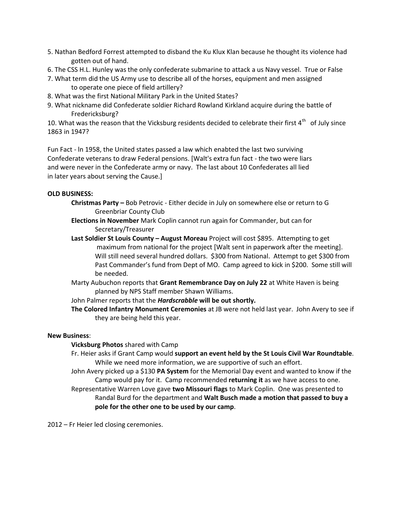- 5. Nathan Bedford Forrest attempted to disband the Ku Klux Klan because he thought its violence had gotten out of hand.
- 6. The CSS H.L. Hunley was the only confederate submarine to attack a us Navy vessel. True or False
- 7. What term did the US Army use to describe all of the horses, equipment and men assigned to operate one piece of field artillery?
- 8. What was the first National Military Park in the United States?
- 9. What nickname did Confederate soldier Richard Rowland Kirkland acquire during the battle of Fredericksburg?

10. What was the reason that the Vicksburg residents decided to celebrate their first  $4^{th}$  of July since 1863 in 1947?

Fun Fact - ln 1958, the United states passed a law which enabted the last two surviving Confederate veterans to draw Federal pensions. [Walt's extra fun fact - the two were liars and were never in the Confederate army or navy. The last about 10 Confederates all lied in later years about serving the Cause.]

## **OLD BUSINESS:**

- **Christmas Party –** Bob Petrovic Either decide in July on somewhere else or return to G Greenbriar County Club
- **Elections in November** Mark Coplin cannot run again for Commander, but can for Secretary/Treasurer
- **Last Soldier St Louis County – August Moreau** Project will cost \$895. Attempting to get maximum from national for the project [Walt sent in paperwork after the meeting]. Will still need several hundred dollars. \$300 from National. Attempt to get \$300 from Past Commander's fund from Dept of MO. Camp agreed to kick in \$200. Some still will be needed.
- Marty Aubuchon reports that **Grant Remembrance Day on July 22** at White Haven is being planned by NPS Staff member Shawn Williams.

John Palmer reports that the *Hardscrabble* **will be out shortly.**

**The Colored Infantry Monument Ceremonies** at JB were not held last year. John Avery to see if they are being held this year.

### **New Business**:

# **Vicksburg Photos** shared with Camp

- Fr. Heier asks if Grant Camp would **support an event held by the St Louis Civil War Roundtable**. While we need more information, we are supportive of such an effort.
- John Avery picked up a \$130 **PA System** for the Memorial Day event and wanted to know if the Camp would pay for it. Camp recommended **returning it** as we have access to one. Representative Warren Love gave **two Missouri flags** to Mark Coplin. One was presented to
	- Randal Burd for the department and **Walt Busch made a motion that passed to buy a pole for the other one to be used by our camp**.

2012 – Fr Heier led closing ceremonies.